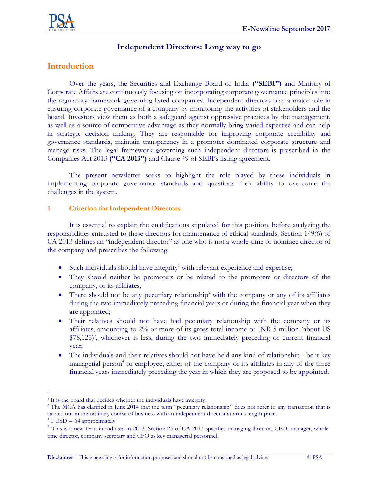

# **Independent Directors: Long way to go**

# **Introduction**

Over the years, the Securities and Exchange Board of India **("SEBI")** and Ministry of Corporate Affairs are continuously focusing on incorporating corporate governance principles into the regulatory framework governing listed companies. Independent directors play a major role in ensuring corporate governance of a company by monitoring the activities of stakeholders and the board. Investors view them as both a safeguard against oppressive practices by the management, as well as a source of competitive advantage as they normally bring varied expertise and can help in strategic decision making. They are responsible for improving corporate credibility and governance standards, maintain transparency in a promoter dominated corporate structure and manage risks. The legal framework governing such independent directors is prescribed in the Companies Act 2013 **("CA 2013")** and Clause 49 of SEBI's listing agreement.

The present newsletter seeks to highlight the role played by these individuals in implementing corporate governance standards and questions their ability to overcome the challenges in the system.

### **1. Criterion for Independent Directors**

It is essential to explain the qualifications stipulated for this position, before analyzing the responsibilities entrusted to these directors for maintenance of ethical standards. Section 149(6) of CA 2013 defines an "independent director" as one who is not a whole-time or nominee director of the company and prescribes the following:

- $\bullet$  Such individuals should have integrity<sup>1</sup> with relevant experience and expertise;
- They should neither be promoters or be related to the promoters or directors of the company, or its affiliates;
- There should not be any pecuniary relationship<sup>2</sup> with the company or any of its affiliates during the two immediately preceding financial years or during the financial year when they are appointed;
- Their relatives should not have had pecuniary relationship with the company or its affiliates, amounting to 2% or more of its gross total income or INR 5 million (about US \$78,125)<sup>3</sup>, whichever is less, during the two immediately preceding or current financial year;
- The individuals and their relatives should not have held any kind of relationship be it key managerial person<sup>4</sup> or employee, either of the company or its affiliates in any of the three financial years immediately preceding the year in which they are proposed to be appointed;

 $\overline{a}$ <sup>1</sup> It is the board that decides whether the individuals have integrity.

<sup>&</sup>lt;sup>2</sup> The MCA has clarified in June 2014 that the term "pecuniary relationship" does not refer to any transaction that is carried out in the ordinary course of business with an independent director at arm's length price.

 $3$  1 USD = 64 approximately

<sup>&</sup>lt;sup>4</sup> This is a new term introduced in 2013. Section 25 of CA 2013 specifies managing director, CEO, manager, wholetime director, company secretary and CFO as key managerial personnel.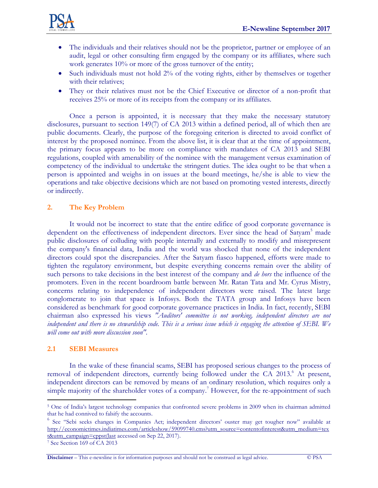

- The individuals and their relatives should not be the proprietor, partner or employee of an audit, legal or other consulting firm engaged by the company or its affiliates, where such work generates 10% or more of the gross turnover of the entity;
- Such individuals must not hold 2% of the voting rights, either by themselves or together with their relatives;
- They or their relatives must not be the Chief Executive or director of a non-profit that receives 25% or more of its receipts from the company or its affiliates.

Once a person is appointed, it is necessary that they make the necessary statutory disclosures, pursuant to section 149(7) of CA 2013 within a defined period, all of which then are public documents. Clearly, the purpose of the foregoing criterion is directed to avoid conflict of interest by the proposed nominee. From the above list, it is clear that at the time of appointment, the primary focus appears to be more on compliance with mandates of CA 2013 and SEBI regulations, coupled with amenability of the nominee with the management versus examination of competency of the individual to undertake the stringent duties. The idea ought to be that when a person is appointed and weighs in on issues at the board meetings, he/she is able to view the operations and take objective decisions which are not based on promoting vested interests, directly or indirectly.

#### **2. The Key Problem**

It would not be incorrect to state that the entire edifice of good corporate governance is dependent on the effectiveness of independent directors. Ever since the head of Satyam<sup>5</sup> made public disclosures of colluding with people internally and externally to modify and misrepresent the company's financial data, India and the world was shocked that none of the independent directors could spot the discrepancies. After the Satyam fiasco happened, efforts were made to tighten the regulatory environment, but despite everything concerns remain over the ability of such persons to take decisions in the best interest of the company and *de hors* the influence of the promoters. Even in the recent boardroom battle between Mr. Ratan Tata and Mr. Cyrus Mistry, concerns relating to independence of independent directors were raised. The latest large conglomerate to join that space is Infosys. Both the TATA group and Infosys have been considered as benchmark for good corporate governance practices in India. In fact, recently, SEBI chairman also expressed his views *"Auditors' committee is not working, independent directors are not independent and there is no stewardship code. This is a serious issue which is engaging the attention of SEBI. We will come out with more discussion soon".*

#### **2.1 SEBI Measures**

In the wake of these financial scams, SEBI has proposed serious changes to the process of removal of independent directors, currently being followed under the CA 2013.<sup>6</sup> At present, independent directors can be removed by means of an ordinary resolution, which requires only a simple majority of the shareholder votes of a company.<sup>7</sup> However, for the re-appointment of such

**Disclaimer** – This e-newsline is for information purposes and should not be construed as legal advice. © PSA

 $\overline{a}$ <sup>5</sup> One of India's largest technology companies that confronted severe problems in 2009 when its chairman admitted that he had connived to falsify the accounts.

<sup>&</sup>lt;sup>6</sup> See "Sebi seeks changes in Companies Act; independent directors' ouster may get tougher now" available at [http://economictimes.indiatimes.com/articleshow/59099740.cms?utm\\_source=contentofinterest&utm\\_medium=tex](http://economictimes.indiatimes.com/articleshow/59099740.cms?utm_source=contentofinterest&utm_medium=text&utm_campaign=cppst(last) [t&utm\\_campaign=cppst\(last](http://economictimes.indiatimes.com/articleshow/59099740.cms?utm_source=contentofinterest&utm_medium=text&utm_campaign=cppst(last) accessed on Sep 22, 2017).

<sup>7</sup> See Section 169 of CA 2013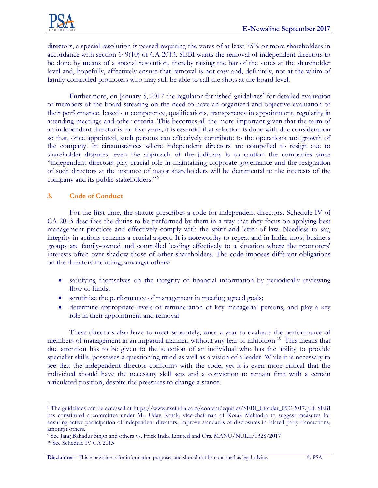

directors, a special resolution is passed requiring the votes of at least 75% or more shareholders in accordance with section 149(10) of CA 2013. SEBI wants the removal of independent directors to be done by means of a special resolution, thereby raising the bar of the votes at the shareholder level and, hopefully, effectively ensure that removal is not easy and, definitely, not at the whim of family-controlled promoters who may still be able to call the shots at the board level.

Furthermore, on January 5, 2017 the regulator furnished guidelines<sup>8</sup> for detailed evaluation of members of the board stressing on the need to have an organized and objective evaluation of their performance, based on competence, qualifications, transparency in appointment, regularity in attending meetings and other criteria. This becomes all the more important given that the term of an independent director is for five years, it is essential that selection is done with due consideration so that, once appointed, such persons can effectively contribute to the operations and growth of the company. In circumstances where independent directors are compelled to resign due to shareholder disputes, even the approach of the judiciary is to caution the companies since "independent directors play crucial role in maintaining corporate governance and the resignation of such directors at the instance of major shareholders will be detrimental to the interests of the company and its public stakeholders."<sup>9</sup>

#### **3. Code of Conduct**

 $\overline{a}$ 

For the first time, the statute prescribes a code for independent directors**.** Schedule IV of CA 2013 describes the duties to be performed by them in a way that they focus on applying best management practices and effectively comply with the spirit and letter of law. Needless to say, integrity in actions remains a crucial aspect. It is noteworthy to repeat and in India, most business groups are family-owned and controlled leading effectively to a situation where the promoters' interests often over-shadow those of other shareholders. The code imposes different obligations on the directors including, amongst others:

- satisfying themselves on the integrity of financial information by periodically reviewing flow of funds;
- scrutinize the performance of management in meeting agreed goals;
- determine appropriate levels of remuneration of key managerial persons, and play a key role in their appointment and removal

These directors also have to meet separately, once a year to evaluate the performance of members of management in an impartial manner, without any fear or inhibition.<sup>10</sup> This means that due attention has to be given to the selection of an individual who has the ability to provide specialist skills, possesses a questioning mind as well as a vision of a leader. While it is necessary to see that the independent director conforms with the code, yet it is even more critical that the individual should have the necessary skill sets and a conviction to remain firm with a certain articulated position, despite the pressures to change a stance.

**Disclaimer** – This e-newsline is for information purposes and should not be construed as legal advice. © PSA

<sup>&</sup>lt;sup>8</sup> The guidelines can be accessed at [https://www.nseindia.com/content/equities/SEBI\\_Circular\\_05012017.pdf.](https://www.nseindia.com/content/equities/SEBI_Circular_05012017.pdf) SEBI has constituted a committee under Mr. Uday Kotak, vice-chairman of Kotak Mahindra to suggest measures for ensuring active participation of independent directors, improve standards of disclosures in related party transactions, amongst others.

<sup>9</sup> See Jang Bahadur Singh and others vs. Frick India Limited and Ors. MANU/NULL/0328/2017 <sup>10</sup> See Schedule IV CA 2013